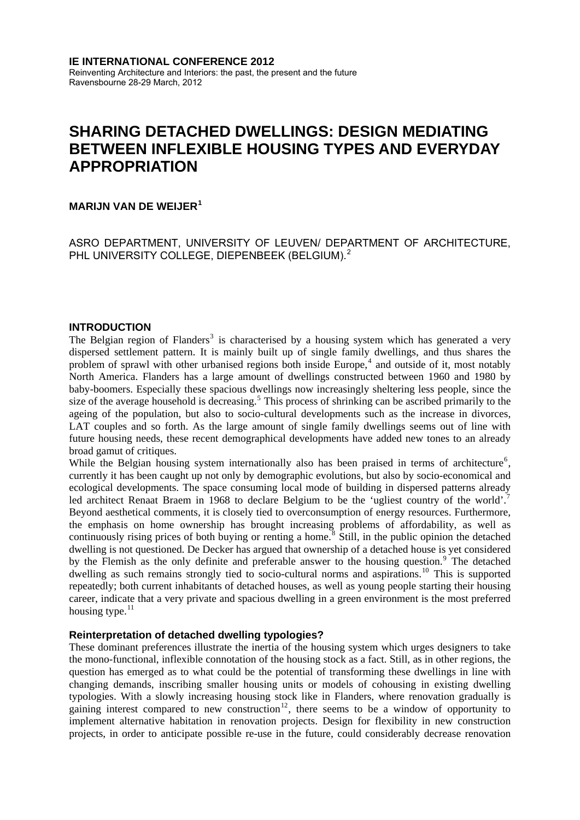# **SHARING DETACHED DWELLINGS: DESIGN MEDIATING BETWEEN INFLEXIBLE HOUSING TYPES AND EVERYDAY APPROPRIATION**

# **MARIJN VAN DE WEIJER[1](#page-6-0)**

ASRO DEPARTMENT, UNIVERSITY OF LEUVEN/ DEPARTMENT OF ARCHITECTURE, PHL UNIVERSITY COLLEGE, DIEPENBEEK (BELGIUM).<sup>[2](#page-6-1)</sup>

## **INTRODUCTION**

The Belgian region of Flanders<sup>[3](#page-6-2)</sup> is characterised by a housing system which has generated a very dispersed settlement pattern. It is mainly built up of single family dwellings, and thus shares the problem of sprawl with other urbanised regions both inside Europe,<sup>[4](#page-6-3)</sup> and outside of it, most notably North America. Flanders has a large amount of dwellings constructed between 1960 and 1980 by baby-boomers. Especially these spacious dwellings now increasingly sheltering less people, since the size of the average household is decreasing.<sup>[5](#page-6-4)</sup> This process of shrinking can be ascribed primarily to the ageing of the population, but also to socio-cultural developments such as the increase in divorces, LAT couples and so forth. As the large amount of single family dwellings seems out of line with future housing needs, these recent demographical developments have added new tones to an already broad gamut of critiques.

While the Belgian housing system internationally also has been praised in terms of architecture<sup>[6](#page-6-5)</sup>, currently it has been caught up not only by demographic evolutions, but also by socio-economical and ecological developments. The space consuming local mode of building in dispersed patterns already led architect Renaat Braem in 1968 to declare Belgium to be the 'ugliest country of the world'.<sup>[7](#page-6-6)</sup> Beyond aesthetical comments, it is closely tied to overconsumption of energy resources. Furthermore, the emphasis on home ownership has brought increasing problems of affordability, as well as continuously rising prices of both buying or renting a home.<sup>[8](#page-6-7)</sup> Still, in the public opinion the detached dwelling is not questioned. De Decker has argued that ownership of a detached house is yet considered by the Flemish as the only definite and preferable answer to the housing question.<sup>[9](#page-6-8)</sup> The detached dwelling as such remains strongly tied to socio-cultural norms and aspirations.<sup>[10](#page-6-9)</sup> This is supported repeatedly; both current inhabitants of detached houses, as well as young people starting their housing career, indicate that a very private and spacious dwelling in a green environment is the most preferred housing type. $11$ 

## **Reinterpretation of detached dwelling typologies?**

These dominant preferences illustrate the inertia of the housing system which urges designers to take the mono-functional, inflexible connotation of the housing stock as a fact. Still, as in other regions, the question has emerged as to what could be the potential of transforming these dwellings in line with changing demands, inscribing smaller housing units or models of cohousing in existing dwelling typologies. With a slowly increasing housing stock like in Flanders, where renovation gradually is gaining interest compared to new construction<sup>[12](#page-7-1)</sup>, there seems to be a window of opportunity to implement alternative habitation in renovation projects. Design for flexibility in new construction projects, in order to anticipate possible re-use in the future, could considerably decrease renovation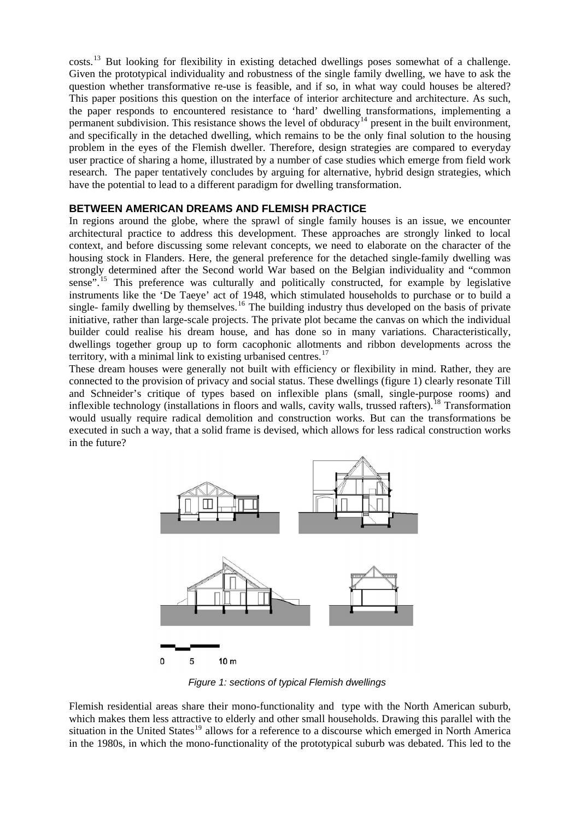costs.[13](#page-7-2) But looking for flexibility in existing detached dwellings poses somewhat of a challenge. Given the prototypical individuality and robustness of the single family dwelling, we have to ask the question whether transformative re-use is feasible, and if so, in what way could houses be altered? This paper positions this question on the interface of interior architecture and architecture. As such, the paper responds to encountered resistance to 'hard' dwelling transformations, implementing a permanent subdivision. This resistance shows the level of obduracy<sup>[14](#page-7-3)</sup> present in the built environment, and specifically in the detached dwelling, which remains to be the only final solution to the housing problem in the eyes of the Flemish dweller. Therefore, design strategies are compared to everyday user practice of sharing a home, illustrated by a number of case studies which emerge from field work research. The paper tentatively concludes by arguing for alternative, hybrid design strategies, which have the potential to lead to a different paradigm for dwelling transformation.

## **BETWEEN AMERICAN DREAMS AND FLEMISH PRACTICE**

In regions around the globe, where the sprawl of single family houses is an issue, we encounter architectural practice to address this development. These approaches are strongly linked to local context, and before discussing some relevant concepts, we need to elaborate on the character of the housing stock in Flanders. Here, the general preference for the detached single-family dwelling was strongly determined after the Second world War based on the Belgian individuality and "common sense<sup>". [15](#page-7-4)</sup> This preference was culturally and politically constructed, for example by legislative instruments like the 'De Taeye' act of 1948, which stimulated households to purchase or to build a single- family dwelling by themselves.<sup>[16](#page-7-5)</sup> The building industry thus developed on the basis of private initiative, rather than large-scale projects. The private plot became the canvas on which the individual builder could realise his dream house, and has done so in many variations. Characteristically, dwellings together group up to form cacophonic allotments and ribbon developments across the territory, with a minimal link to existing urbanised centres. $17$ 

These dream houses were generally not built with efficiency or flexibility in mind. Rather, they are connected to the provision of privacy and social status. These dwellings (figure 1) clearly resonate Till and Schneider's critique of types based on inflexible plans (small, single-purpose rooms) and inflexible technology (installations in floors and walls, cavity walls, trussed rafters).<sup>[18](#page-7-7)</sup> Transformation would usually require radical demolition and construction works. But can the transformations be executed in such a way, that a solid frame is devised, which allows for less radical construction works in the future?



*Figure 1: sections of typical Flemish dwellings* 

Flemish residential areas share their mono-functionality and type with the North American suburb, which makes them less attractive to elderly and other small households. Drawing this parallel with the situation in the United States<sup>[19](#page-7-8)</sup> allows for a reference to a discourse which emerged in North America in the 1980s, in which the mono-functionality of the prototypical suburb was debated. This led to the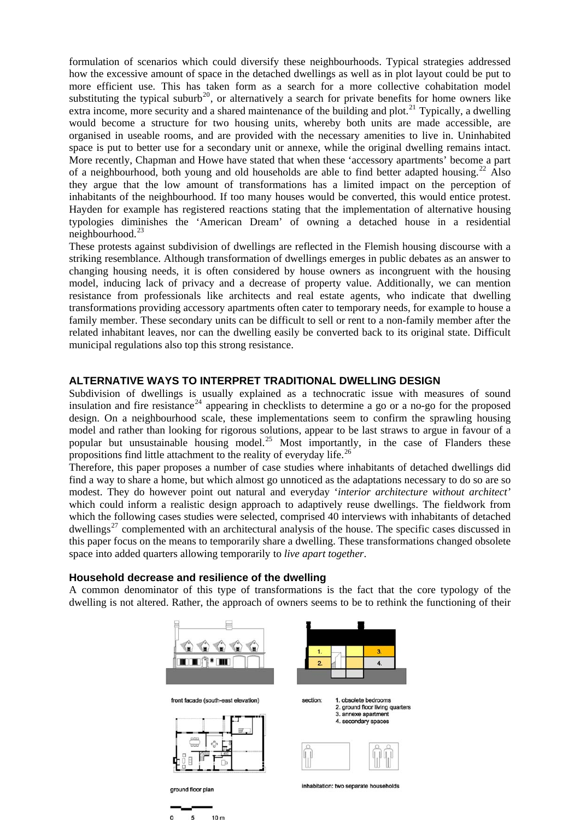formulation of scenarios which could diversify these neighbourhoods. Typical strategies addressed how the excessive amount of space in the detached dwellings as well as in plot layout could be put to more efficient use. This has taken form as a search for a more collective cohabitation model substituting the typical suburb<sup>[20](#page-7-9)</sup>, or alternatively a search for private benefits for home owners like extra income, more security and a shared maintenance of the building and plot.<sup>[21](#page-7-10)</sup> Typically, a dwelling would become a structure for two housing units, whereby both units are made accessible, are organised in useable rooms, and are provided with the necessary amenities to live in. Uninhabited space is put to better use for a secondary unit or annexe, while the original dwelling remains intact. More recently, Chapman and Howe have stated that when these 'accessory apartments' become a part of a neighbourhood, both young and old households are able to find better adapted housing.<sup>[22](#page-7-11)</sup> Also they argue that the low amount of transformations has a limited impact on the perception of inhabitants of the neighbourhood. If too many houses would be converted, this would entice protest. Hayden for example has registered reactions stating that the implementation of alternative housing typologies diminishes the 'American Dream' of owning a detached house in a residential neighbourhood. $^{23}$  $^{23}$  $^{23}$ 

These protests against subdivision of dwellings are reflected in the Flemish housing discourse with a striking resemblance. Although transformation of dwellings emerges in public debates as an answer to changing housing needs, it is often considered by house owners as incongruent with the housing model, inducing lack of privacy and a decrease of property value. Additionally, we can mention resistance from professionals like architects and real estate agents, who indicate that dwelling transformations providing accessory apartments often cater to temporary needs, for example to house a family member. These secondary units can be difficult to sell or rent to a non-family member after the related inhabitant leaves, nor can the dwelling easily be converted back to its original state. Difficult municipal regulations also top this strong resistance.

## **ALTERNATIVE WAYS TO INTERPRET TRADITIONAL DWELLING DESIGN**

Subdivision of dwellings is usually explained as a technocratic issue with measures of sound insulation and fire resistance<sup>[24](#page-7-13)</sup> appearing in checklists to determine a go or a no-go for the proposed design. On a neighbourhood scale, these implementations seem to confirm the sprawling housing model and rather than looking for rigorous solutions, appear to be last straws to argue in favour of a popular but unsustainable housing model.<sup>[25](#page-7-14)</sup> Most importantly, in the case of Flanders these propositions find little attachment to the reality of everyday life.<sup>[26](#page-7-15)</sup>

Therefore, this paper proposes a number of case studies where inhabitants of detached dwellings did find a way to share a home, but which almost go unnoticed as the adaptations necessary to do so are so modest. They do however point out natural and everyday '*interior architecture without architect'* which could inform a realistic design approach to adaptively reuse dwellings. The fieldwork from which the following cases studies were selected, comprised 40 interviews with inhabitants of detached dwellings<sup>[27](#page-7-16)</sup> complemented with an architectural analysis of the house. The specific cases discussed in this paper focus on the means to temporarily share a dwelling. These transformations changed obsolete space into added quarters allowing temporarily to *live apart together*.

## **Household decrease and resilience of the dwelling**

A common denominator of this type of transformations is the fact that the core typology of the dwelling is not altered. Rather, the approach of owners seems to be to rethink the functioning of their

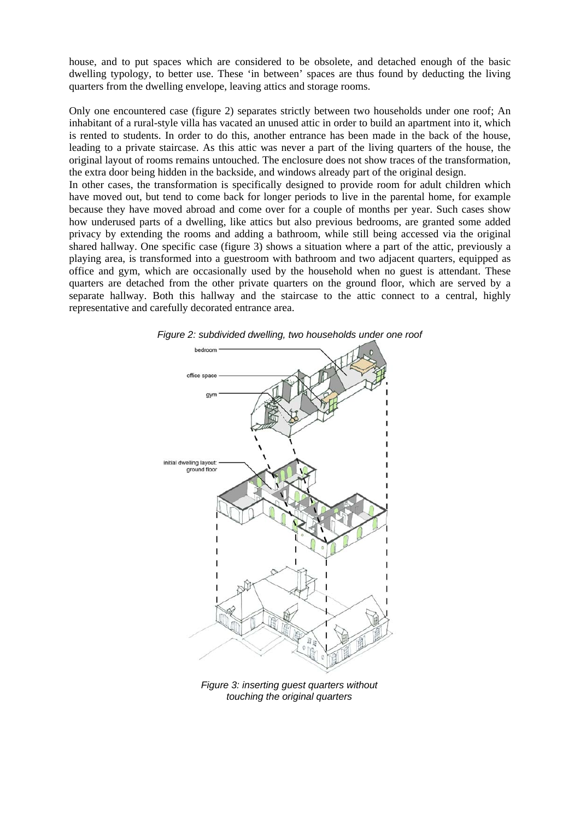house, and to put spaces which are considered to be obsolete, and detached enough of the basic dwelling typology, to better use. These 'in between' spaces are thus found by deducting the living quarters from the dwelling envelope, leaving attics and storage rooms.

Only one encountered case (figure 2) separates strictly between two households under one roof; An inhabitant of a rural-style villa has vacated an unused attic in order to build an apartment into it, which is rented to students. In order to do this, another entrance has been made in the back of the house, leading to a private staircase. As this attic was never a part of the living quarters of the house, the original layout of rooms remains untouched. The enclosure does not show traces of the transformation, the extra door being hidden in the backside, and windows already part of the original design.

In other cases, the transformation is specifically designed to provide room for adult children which have moved out, but tend to come back for longer periods to live in the parental home, for example because they have moved abroad and come over for a couple of months per year. Such cases show how underused parts of a dwelling, like attics but also previous bedrooms, are granted some added privacy by extending the rooms and adding a bathroom, while still being accessed via the original shared hallway. One specific case (figure 3) shows a situation where a part of the attic, previously a playing area, is transformed into a guestroom with bathroom and two adjacent quarters, equipped as office and gym, which are occasionally used by the household when no guest is attendant. These quarters are detached from the other private quarters on the ground floor, which are served by a separate hallway. Both this hallway and the staircase to the attic connect to a central, highly representative and carefully decorated entrance area.



*Figure 2: subdivided dwelling, two households under one roof* 

*Figure 3: inserting guest quarters without touching the original quarters*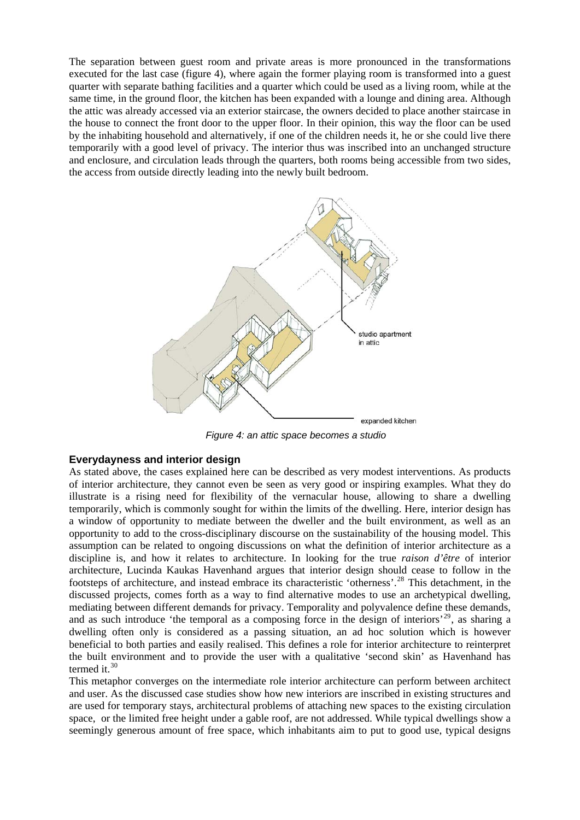The separation between guest room and private areas is more pronounced in the transformations executed for the last case (figure 4), where again the former playing room is transformed into a guest quarter with separate bathing facilities and a quarter which could be used as a living room, while at the same time, in the ground floor, the kitchen has been expanded with a lounge and dining area. Although the attic was already accessed via an exterior staircase, the owners decided to place another staircase in the house to connect the front door to the upper floor. In their opinion, this way the floor can be used by the inhabiting household and alternatively, if one of the children needs it, he or she could live there temporarily with a good level of privacy. The interior thus was inscribed into an unchanged structure and enclosure, and circulation leads through the quarters, both rooms being accessible from two sides, the access from outside directly leading into the newly built bedroom.



*Figure 4: an attic space becomes a studio* 

## **Everydayness and interior design**

As stated above, the cases explained here can be described as very modest interventions. As products of interior architecture, they cannot even be seen as very good or inspiring examples. What they do illustrate is a rising need for flexibility of the vernacular house, allowing to share a dwelling temporarily, which is commonly sought for within the limits of the dwelling. Here, interior design has a window of opportunity to mediate between the dweller and the built environment, as well as an opportunity to add to the cross-disciplinary discourse on the sustainability of the housing model. This assumption can be related to ongoing discussions on what the definition of interior architecture as a discipline is, and how it relates to architecture. In looking for the true *raison d'être* of interior architecture, Lucinda Kaukas Havenhand argues that interior design should cease to follow in the footsteps of architecture, and instead embrace its characteristic 'otherness'.[28](#page-7-17) This detachment, in the discussed projects, comes forth as a way to find alternative modes to use an archetypical dwelling, mediating between different demands for privacy. Temporality and polyvalence define these demands, and as such introduce 'the temporal as a composing force in the design of interiors'<sup>[29](#page-7-18)</sup>, as sharing a dwelling often only is considered as a passing situation, an ad hoc solution which is however beneficial to both parties and easily realised. This defines a role for interior architecture to reinterpret the built environment and to provide the user with a qualitative 'second skin' as Havenhand has termed it. $30$ 

and user. As the discussed case studies show how new interiors are inscribed in existing structures and This metaphor converges on the intermediate role interior architecture can perform between architect are used for temporary stays, architectural problems of attaching new spaces to the existing circulation space, or the limited free height under a gable roof, are not addressed. While typical dwellings show a seemingly generous amount of free space, which inhabitants aim to put to good use, typical designs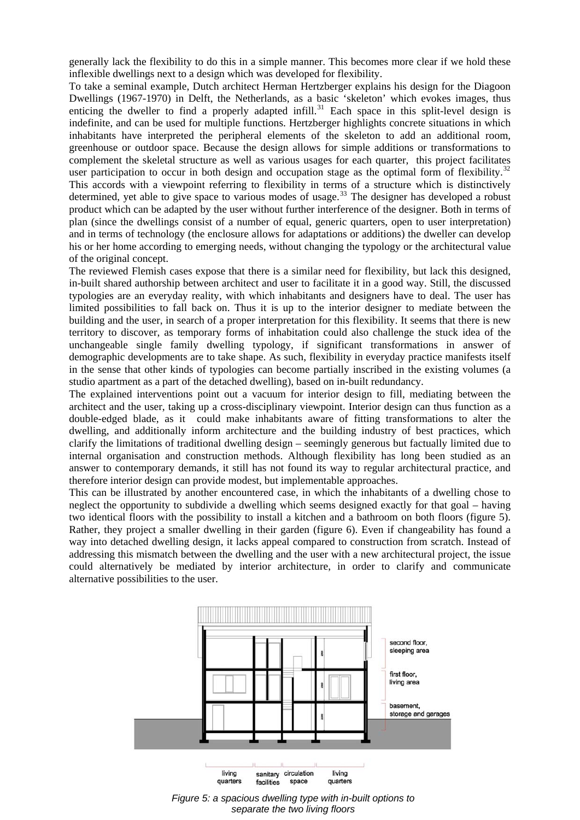generally lack the flexibility to do this in a simple manner. This becomes more clear if we hold these inflexible dwellings next to a design which was developed for flexibility.

To take a seminal example, Dutch architect Herman Hertzberger explains his design for the Diagoon Dwellings (1967-1970) in Delft, the Netherlands, as a basic 'skeleton' which evokes images, thus enticing the dweller to find a properly adapted infill.<sup>[31](#page-7-20)</sup> Each space in this split-level design is indefinite, and can be used for multiple functions. Hertzberger highlights concrete situations in which inhabitants have interpreted the peripheral elements of the skeleton to add an additional room, greenhouse or outdoor space. Because the design allows for simple additions or transformations to complement the skeletal structure as well as various usages for each quarter, this project facilitates user participation to occur in both design and occupation stage as the optimal form of flexibility.<sup>[32](#page-7-21)</sup>

This accords with a viewpoint referring to flexibility in terms of a structure which is distinctively determined, yet able to give space to various modes of usage.<sup>[33](#page-7-22)</sup> The designer has developed a robust product which can be adapted by the user without further interference of the designer. Both in terms of plan (since the dwellings consist of a number of equal, generic quarters, open to user interpretation) and in terms of technology (the enclosure allows for adaptations or additions) the dweller can develop his or her home according to emerging needs, without changing the typology or the architectural value of the original concept.

The reviewed Flemish cases expose that there is a similar need for flexibility, but lack this designed, in-built shared authorship between architect and user to facilitate it in a good way. Still, the discussed typologies are an everyday reality, with which inhabitants and designers have to deal. The user has limited possibilities to fall back on. Thus it is up to the interior designer to mediate between the building and the user, in search of a proper interpretation for this flexibility. It seems that there is new territory to discover, as temporary forms of inhabitation could also challenge the stuck idea of the unchangeable single family dwelling typology, if significant transformations in answer of demographic developments are to take shape. As such, flexibility in everyday practice manifests itself in the sense that other kinds of typologies can become partially inscribed in the existing volumes (a studio apartment as a part of the detached dwelling), based on in-built redundancy.

The explained interventions point out a vacuum for interior design to fill, mediating between the architect and the user, taking up a cross-disciplinary viewpoint. Interior design can thus function as a double-edged blade, as it could make inhabitants aware of fitting transformations to alter the dwelling, and additionally inform architecture and the building industry of best practices, which clarify the limitations of traditional dwelling design – seemingly generous but factually limited due to internal organisation and construction methods. Although flexibility has long been studied as an answer to contemporary demands, it still has not found its way to regular architectural practice, and therefore interior design can provide modest, but implementable approaches.

This can be illustrated by another encountered case, in which the inhabitants of a dwelling chose to neglect the opportunity to subdivide a dwelling which seems designed exactly for that goal – having two identical floors with the possibility to install a kitchen and a bathroom on both floors (figure 5). Rather, they project a smaller dwelling in their garden (figure 6). Even if changeability has found a way into detached dwelling design, it lacks appeal compared to construction from scratch. Instead of addressing this mismatch between the dwelling and the user with a new architectural project, the issue could alternatively be mediated by interior architecture, in order to clarify and communicate alternative possibilities to the user.



*Figure 5: a spacious dwelling type with in-built options to separate the two living floors*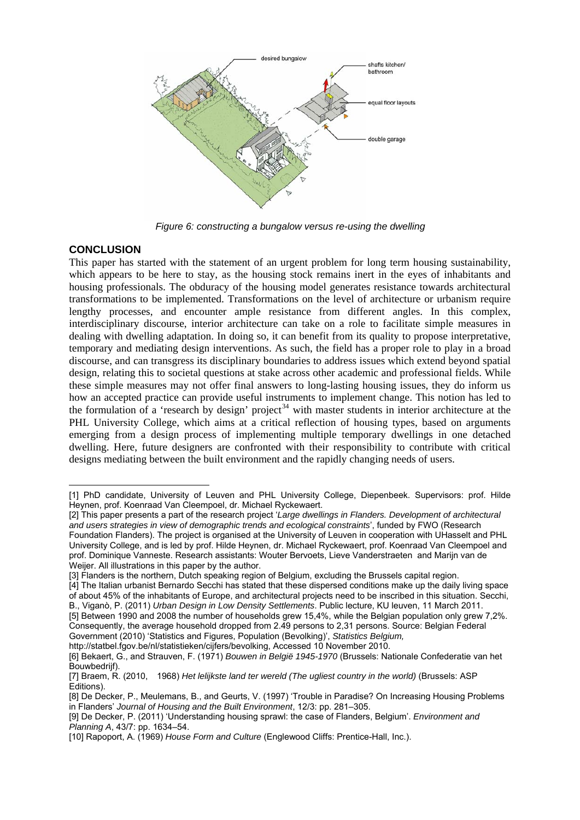

*Figure 6: constructing a bungalow versus re-using the dwelling* 

## **CONCLUSION**

1

This paper has started with the statement of an urgent problem for long term housing sustainability, which appears to be here to stay, as the housing stock remains inert in the eyes of inhabitants and housing professionals. The obduracy of the housing model generates resistance towards architectural transformations to be implemented. Transformations on the level of architecture or urbanism require lengthy processes, and encounter ample resistance from different angles. In this complex, interdisciplinary discourse, interior architecture can take on a role to facilitate simple measures in dealing with dwelling adaptation. In doing so, it can benefit from its quality to propose interpretative, temporary and mediating design interventions. As such, the field has a proper role to play in a broad discourse, and can transgress its disciplinary boundaries to address issues which extend beyond spatial design, relating this to societal questions at stake across other academic and professional fields. While these simple measures may not offer final answers to long-lasting housing issues, they do inform us how an accepted practice can provide useful instruments to implement change. This notion has led to the formulation of a 'research by design' project<sup>[34](#page-7-23)</sup> with master students in interior architecture at the PHL University College, which aims at a critical reflection of housing types, based on arguments emerging from a design process of implementing multiple temporary dwellings in one detached dwelling. Here, future designers are confronted with their responsibility to contribute with critical designs mediating between the built environment and the rapidly changing needs of users.

http://statbel.fgov.be/nl/statistieken/cijfers/bevolking, Accessed 10 November 2010.

<span id="page-6-0"></span><sup>[1]</sup> PhD candidate, University of Leuven and PHL University College, Diepenbeek. Supervisors: prof. Hilde Heynen, prof. Koenraad Van Cleempoel, dr. Michael Ryckewaert.

<span id="page-6-1"></span><sup>[2]</sup> This paper presents a part of the research project '*Large dwellings in Flanders. Development of architectural and users strategies in view of demographic trends and ecological constraints*', funded by FWO (Research Foundation Flanders). The project is organised at the University of Leuven in cooperation with UHasselt and PHL University College, and is led by prof. Hilde Heynen, dr. Michael Ryckewaert, prof. Koenraad Van Cleempoel and prof. Dominique Vanneste. Research assistants: Wouter Bervoets, Lieve Vanderstraeten and Marijn van de Weijer. All illustrations in this paper by the author.

<span id="page-6-2"></span><sup>[3]</sup> Flanders is the northern, Dutch speaking region of Belgium, excluding the Brussels capital region.

<span id="page-6-3"></span><sup>[4]</sup> The Italian urbanist Bernardo Secchi has stated that these dispersed conditions make up the daily living space of about 45% of the inhabitants of Europe, and architectural projects need to be inscribed in this situation. Secchi, B., Viganò, P. (2011) *Urban Design in Low Density Settlements*. Public lecture, KU leuven, 11 March 2011.

<span id="page-6-4"></span><sup>[5]</sup> Between 1990 and 2008 the number of households grew 15,4%, while the Belgian population only grew 7,2%. Consequently, the average household dropped from 2.49 persons to 2,31 persons. Source: Belgian Federal Government (2010) 'Statistics and Figures, Population (Bevolking)', *Statistics Belgium,* 

<span id="page-6-5"></span><sup>[6]</sup> Bekaert, G., and Strauven, F. (1971) *Bouwen in België 1945-1970* (Brussels: Nationale Confederatie van het Bouwbedrijf).

<span id="page-6-6"></span><sup>[7]</sup> Braem, R. (2010, 1968) *Het lelijkste land ter wereld (The ugliest country in the world)* (Brussels: ASP Editions).

<span id="page-6-7"></span><sup>[8]</sup> De Decker, P., Meulemans, B., and Geurts, V. (1997) 'Trouble in Paradise? On Increasing Housing Problems in Flanders' *Journal of Housing and the Built Environment*, 12/3: pp. 281–305.

<span id="page-6-8"></span><sup>[9]</sup> De Decker, P. (2011) 'Understanding housing sprawl: the case of Flanders, Belgium'. *Environment and Planning A*, 43/7: pp. 1634–54.

<span id="page-6-9"></span><sup>[10]</sup> Rapoport, A. (1969) *House Form and Culture* (Englewood Cliffs: Prentice-Hall, Inc.).